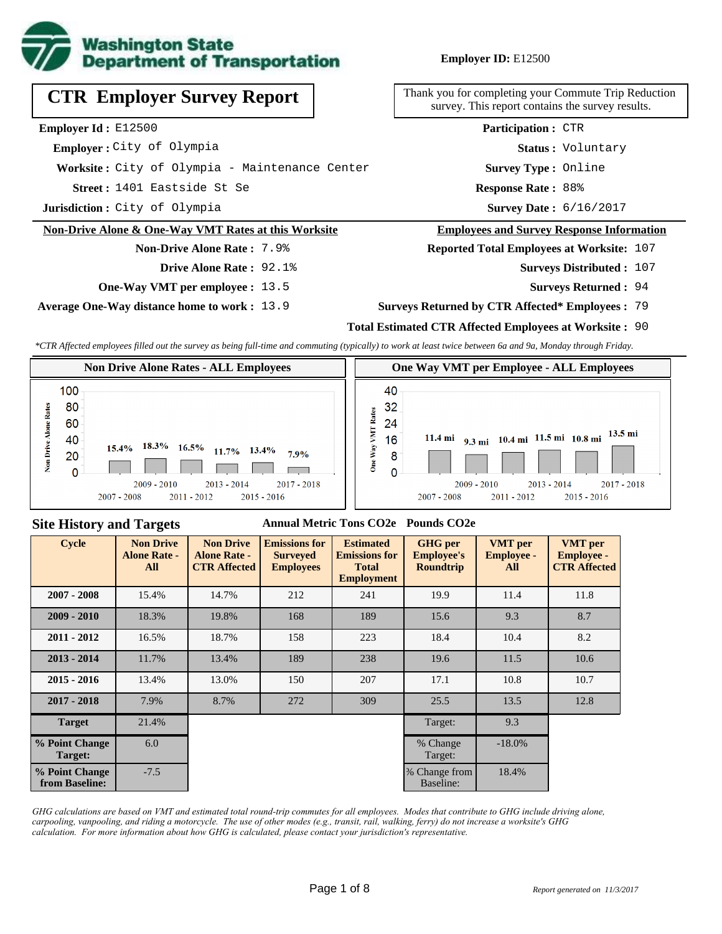

**Employer ID:** E12500

**CTR Employer Survey Report**

**Employer Id :** E12500

 **Employer :** City of Olympia

**Worksite :** City of Olympia - Maintenance Center

1401 Eastside St Se **Response Rate : Street :**

**Jurisdiction :** City of Olympia

#### **Non-Drive Alone & One-Way VMT Rates at this Worksite**

# **Non-Drive Alone Rate :** 7.9%

- **Drive Alone Rate :** 92.1%
- **One-Way VMT per employee :** 13.5

**Average One-Way distance home to work :** 13.9

Thank you for completing your Commute Trip Reduction survey. This report contains the survey results.

> **Survey Type :** Online **Status :** Voluntary **Participation :** CTR

Response Rate: 88%

Survey Date: 6/16/2017

#### **Employees and Survey Response Information**

**Reported Total Employees at Worksite:** 107

- Surveys Distributed : 107
	- **Surveys Returned :** 94

#### **Surveys Returned by CTR Affected\* Employees :** 79

## **Total Estimated CTR Affected Employees at Worksite :** 90

*\*CTR Affected employees filled out the survey as being full-time and commuting (typically) to work at least twice between 6a and 9a, Monday through Friday.*



### **Site History and Targets**

## **Annual Metric Tons CO2e Pounds CO2e**

| <b>Cycle</b>                     | <b>Non Drive</b><br><b>Alone Rate -</b><br>All | <b>Non Drive</b><br><b>Alone Rate -</b><br><b>CTR Affected</b> | <b>Emissions for</b><br><b>Surveyed</b><br><b>Employees</b> | <b>Estimated</b><br><b>Emissions for</b><br><b>Total</b><br><b>Employment</b> | <b>GHG</b> per<br><b>Employee's</b><br><b>Roundtrip</b> | <b>VMT</b> per<br><b>Employee -</b><br>All | <b>VMT</b> per<br><b>Employee -</b><br><b>CTR Affected</b> |
|----------------------------------|------------------------------------------------|----------------------------------------------------------------|-------------------------------------------------------------|-------------------------------------------------------------------------------|---------------------------------------------------------|--------------------------------------------|------------------------------------------------------------|
| $2007 - 2008$                    | 15.4%                                          | 14.7%                                                          | 212                                                         | 241                                                                           | 19.9                                                    | 11.4                                       | 11.8                                                       |
| $2009 - 2010$                    | 18.3%                                          | 19.8%                                                          | 168                                                         | 189                                                                           | 15.6                                                    | 9.3                                        | 8.7                                                        |
| $2011 - 2012$                    | 16.5%                                          | 18.7%                                                          | 158                                                         | 223                                                                           | 18.4                                                    | 10.4                                       | 8.2                                                        |
| $2013 - 2014$                    | 11.7%                                          | 13.4%                                                          | 189                                                         | 238                                                                           | 19.6                                                    | 11.5                                       | 10.6                                                       |
| $2015 - 2016$                    | 13.4%                                          | 13.0%                                                          | 150                                                         | 207                                                                           | 17.1                                                    | 10.8                                       | 10.7                                                       |
| $2017 - 2018$                    | 7.9%                                           | 8.7%                                                           | 272                                                         | 309                                                                           | 25.5                                                    | 13.5                                       | 12.8                                                       |
| <b>Target</b>                    | 21.4%                                          |                                                                |                                                             |                                                                               | Target:                                                 | 9.3                                        |                                                            |
| % Point Change<br>Target:        | 6.0                                            |                                                                |                                                             |                                                                               | % Change<br>Target:                                     | $-18.0\%$                                  |                                                            |
| % Point Change<br>from Baseline: | $-7.5$                                         |                                                                |                                                             |                                                                               | % Change from<br>Baseline:                              | 18.4%                                      |                                                            |

*GHG calculations are based on VMT and estimated total round-trip commutes for all employees. Modes that contribute to GHG include driving alone, carpooling, vanpooling, and riding a motorcycle. The use of other modes (e.g., transit, rail, walking, ferry) do not increase a worksite's GHG calculation. For more information about how GHG is calculated, please contact your jurisdiction's representative.*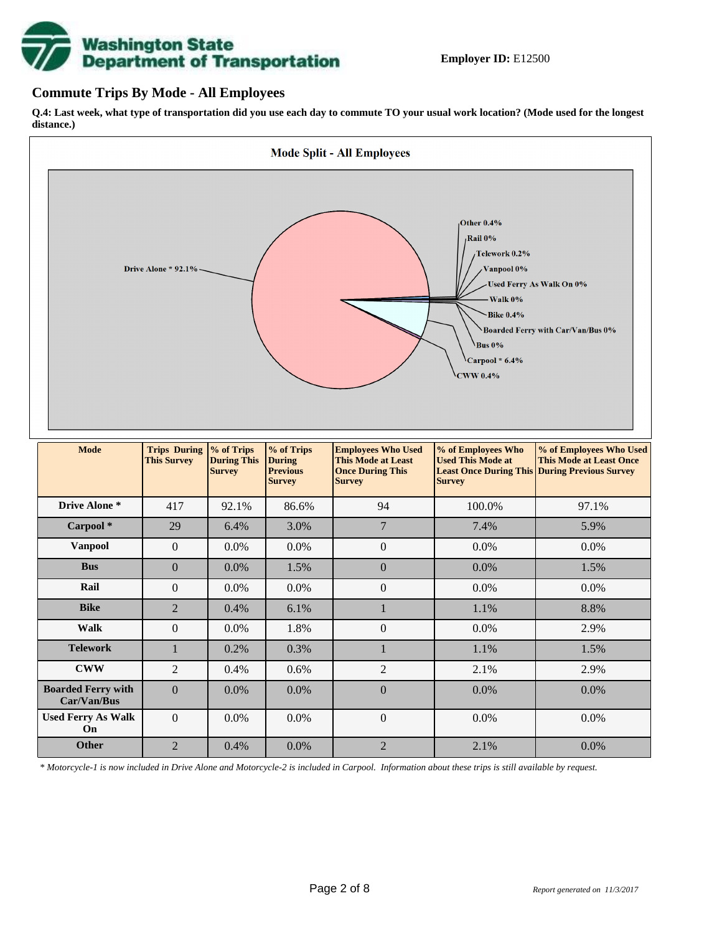# **Washington State<br>Department of Transportation**

## **Commute Trips By Mode - All Employees**

**Q.4: Last week, what type of transportation did you use each day to commute TO your usual work location? (Mode used for the longest distance.)**



*\* Motorcycle-1 is now included in Drive Alone and Motorcycle-2 is included in Carpool. Information about these trips is still available by request.*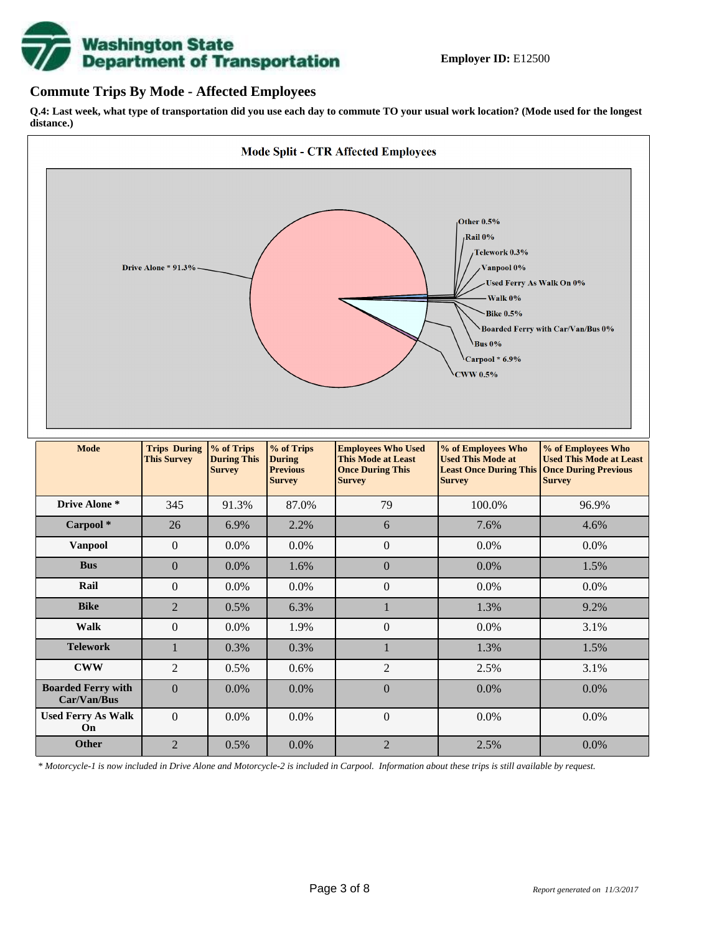

## **Commute Trips By Mode - Affected Employees**

**Q.4: Last week, what type of transportation did you use each day to commute TO your usual work location? (Mode used for the longest distance.)**



*\* Motorcycle-1 is now included in Drive Alone and Motorcycle-2 is included in Carpool. Information about these trips is still available by request.*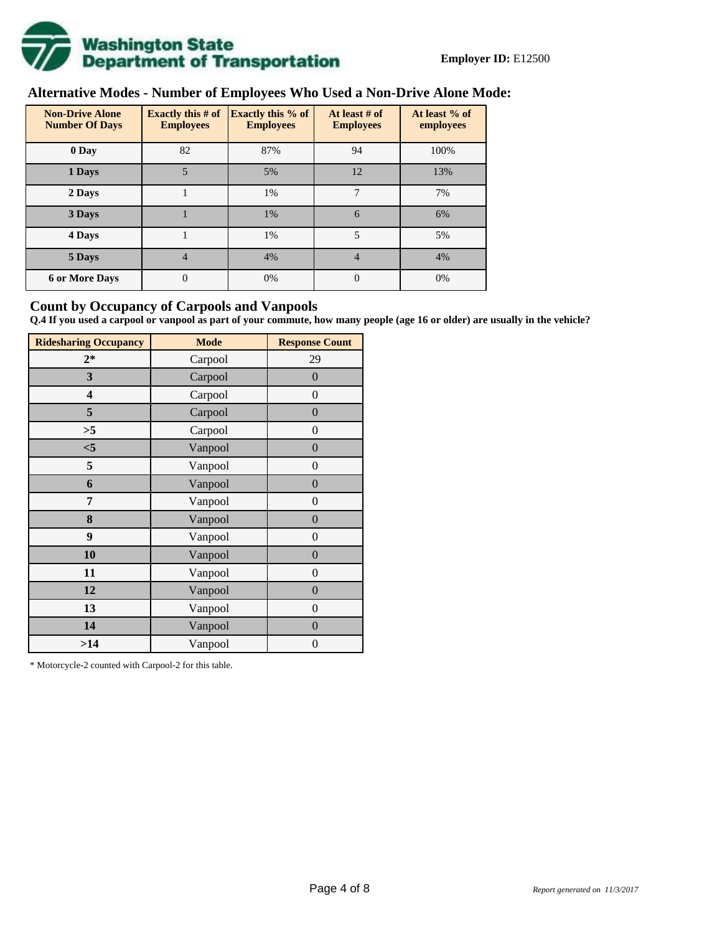

# **Alternative Modes - Number of Employees Who Used a Non-Drive Alone Mode:**

| <b>Non-Drive Alone</b><br><b>Number Of Days</b> | <b>Exactly this # of</b><br><b>Employees</b> | <b>Exactly this % of</b><br><b>Employees</b> | At least # of<br><b>Employees</b> | At least % of<br>employees |  |  |
|-------------------------------------------------|----------------------------------------------|----------------------------------------------|-----------------------------------|----------------------------|--|--|
| 0 Day                                           | 82                                           | 87%                                          | 94                                | 100%                       |  |  |
| 1 Days                                          | 5                                            | 5%                                           | 12                                | 13%                        |  |  |
| 2 Days                                          |                                              | 1%                                           | 7                                 | 7%                         |  |  |
| 3 Days                                          |                                              | 1%                                           | 6                                 | 6%                         |  |  |
| 4 Days                                          |                                              | 1%                                           | 5                                 | 5%                         |  |  |
| 5 Days                                          | 4                                            | 4%                                           | 4                                 | 4%                         |  |  |
| <b>6 or More Days</b>                           | $\theta$                                     | 0%                                           | $\Omega$                          | 0%                         |  |  |

## **Count by Occupancy of Carpools and Vanpools**

**Q.4 If you used a carpool or vanpool as part of your commute, how many people (age 16 or older) are usually in the vehicle?**

| <b>Ridesharing Occupancy</b> | <b>Mode</b> | <b>Response Count</b> |  |  |  |
|------------------------------|-------------|-----------------------|--|--|--|
| $2*$                         | Carpool     | 29                    |  |  |  |
| 3                            | Carpool     | $\overline{0}$        |  |  |  |
| 4                            | Carpool     | $\boldsymbol{0}$      |  |  |  |
| 5                            | Carpool     | $\boldsymbol{0}$      |  |  |  |
| >5                           | Carpool     | $\boldsymbol{0}$      |  |  |  |
| $<$ 5                        | Vanpool     | $\overline{0}$        |  |  |  |
| 5                            | Vanpool     | $\overline{0}$        |  |  |  |
| 6                            | Vanpool     | $\boldsymbol{0}$      |  |  |  |
| 7                            | Vanpool     | $\boldsymbol{0}$      |  |  |  |
| 8                            | Vanpool     | $\overline{0}$        |  |  |  |
| 9                            | Vanpool     | $\overline{0}$        |  |  |  |
| 10                           | Vanpool     | $\overline{0}$        |  |  |  |
| 11                           | Vanpool     | $\boldsymbol{0}$      |  |  |  |
| 12                           | Vanpool     | $\boldsymbol{0}$      |  |  |  |
| 13                           | Vanpool     | $\boldsymbol{0}$      |  |  |  |
| 14                           | Vanpool     | $\overline{0}$        |  |  |  |
| >14                          | Vanpool     | $\boldsymbol{0}$      |  |  |  |

\* Motorcycle-2 counted with Carpool-2 for this table.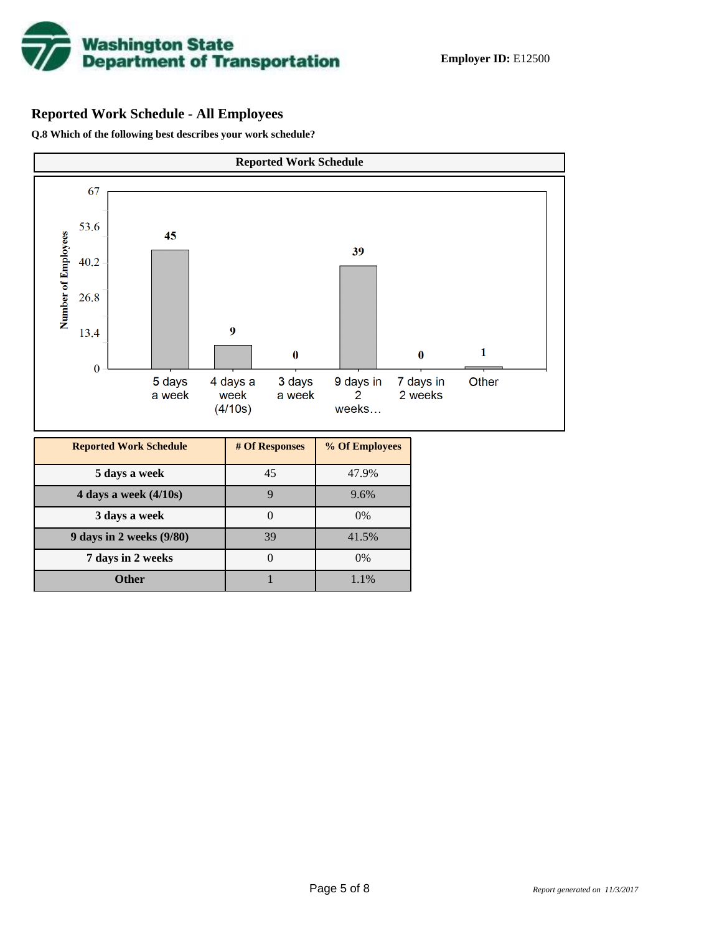

# **Reported Work Schedule - All Employees**

**Q.8 Which of the following best describes your work schedule?**

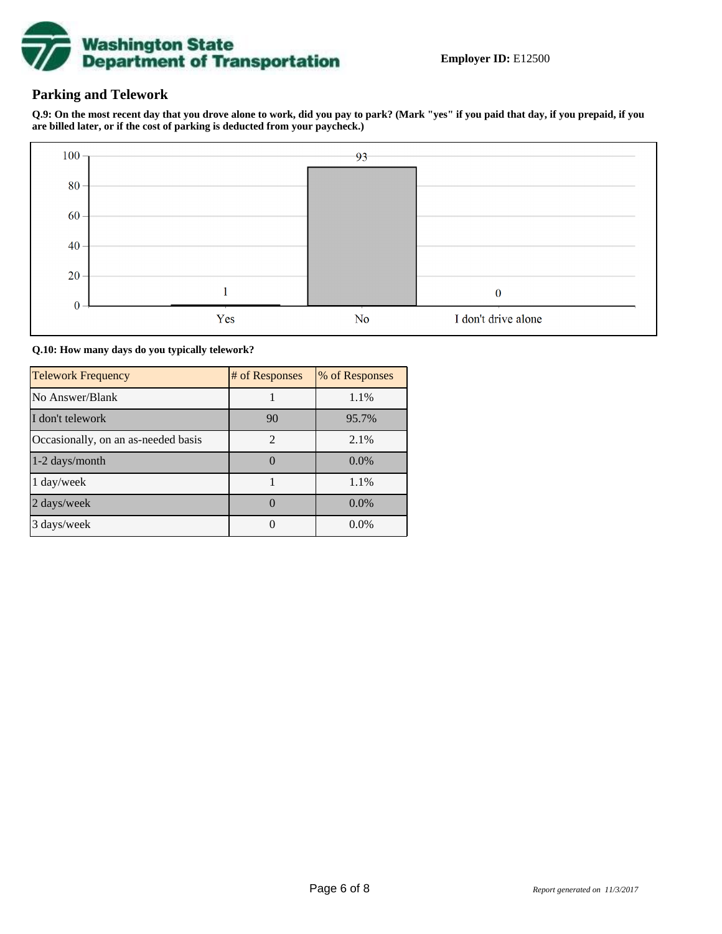

# **Parking and Telework**

**Q.9: On the most recent day that you drove alone to work, did you pay to park? (Mark "yes" if you paid that day, if you prepaid, if you are billed later, or if the cost of parking is deducted from your paycheck.)**



**Q.10: How many days do you typically telework?**

| <b>Telework Frequency</b>           | # of Responses | % of Responses |
|-------------------------------------|----------------|----------------|
| No Answer/Blank                     |                | 1.1%           |
| I don't telework                    | 90             | 95.7%          |
| Occasionally, on an as-needed basis | $\mathfrak{D}$ | 2.1%           |
| 1-2 days/month                      |                | $0.0\%$        |
| 1 day/week                          |                | 1.1%           |
| 2 days/week                         |                | $0.0\%$        |
| 3 days/week                         |                | $0.0\%$        |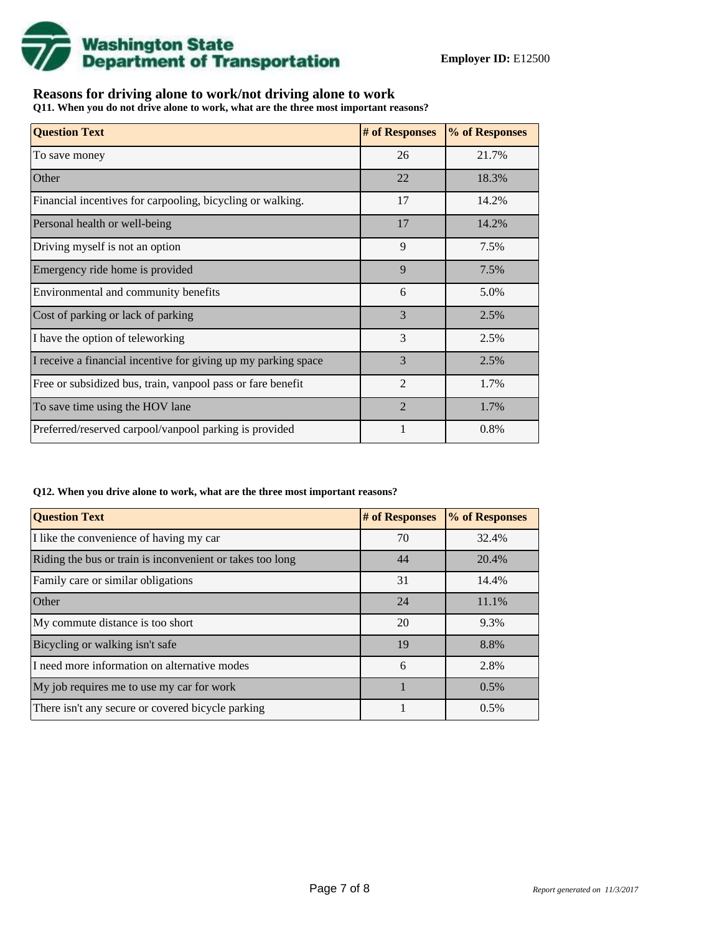

# **Reasons for driving alone to work/not driving alone to work**

**Q11. When you do not drive alone to work, what are the three most important reasons?**

| <b>Question Text</b>                                           | # of Responses | % of Responses |
|----------------------------------------------------------------|----------------|----------------|
| To save money                                                  | 26             | 21.7%          |
| Other                                                          | 22             | 18.3%          |
| Financial incentives for carpooling, bicycling or walking.     | 17             | 14.2%          |
| Personal health or well-being                                  | 17             | 14.2%          |
| Driving myself is not an option                                | 9              | 7.5%           |
| Emergency ride home is provided                                | 9              | 7.5%           |
| Environmental and community benefits                           | 6              | 5.0%           |
| Cost of parking or lack of parking                             | 3              | 2.5%           |
| I have the option of teleworking                               | 3              | 2.5%           |
| I receive a financial incentive for giving up my parking space | 3              | 2.5%           |
| Free or subsidized bus, train, vanpool pass or fare benefit    | $\mathfrak{D}$ | 1.7%           |
| To save time using the HOV lane                                | $\overline{2}$ | 1.7%           |
| Preferred/reserved carpool/vanpool parking is provided         |                | 0.8%           |

#### **Q12. When you drive alone to work, what are the three most important reasons?**

| <b>Question Text</b>                                      | # of Responses | % of Responses |
|-----------------------------------------------------------|----------------|----------------|
| I like the convenience of having my car                   | 70             | 32.4%          |
| Riding the bus or train is inconvenient or takes too long | 44             | 20.4%          |
| Family care or similar obligations                        | 31             | 14.4%          |
| Other                                                     | 24             | 11.1%          |
| My commute distance is too short                          | 20             | 9.3%           |
| Bicycling or walking isn't safe                           | 19             | 8.8%           |
| I need more information on alternative modes              | 6              | 2.8%           |
| My job requires me to use my car for work                 |                | 0.5%           |
| There isn't any secure or covered bicycle parking         |                | 0.5%           |